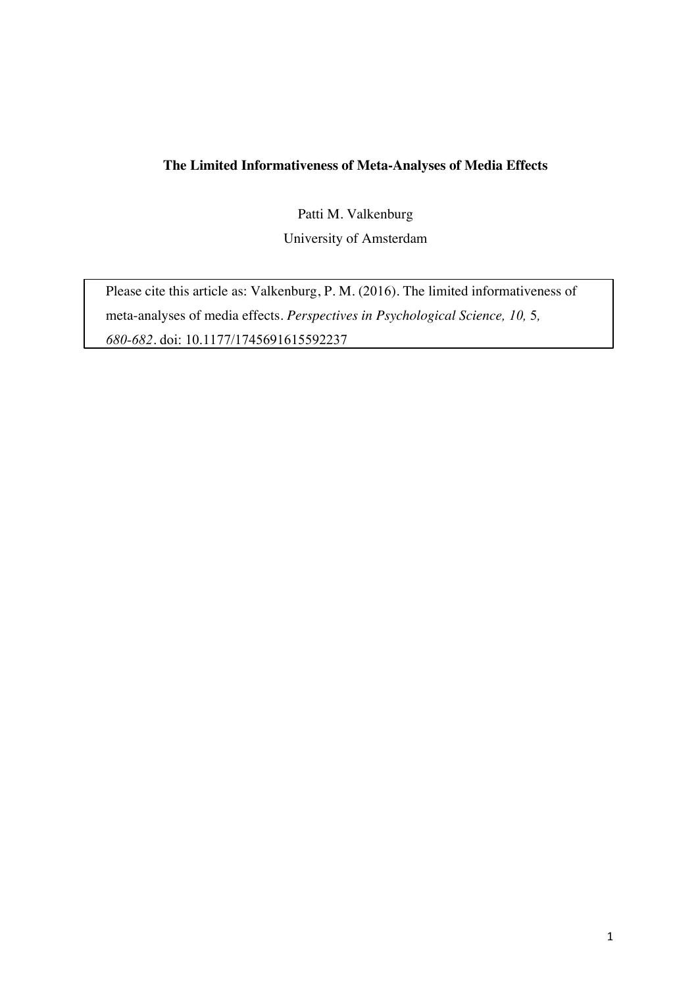# **The Limited Informativeness of Meta-Analyses of Media Effects**

Patti M. Valkenburg University of Amsterdam

Please cite this article as: Valkenburg, P. M. (2016). The limited informativeness of meta-analyses of media effects. *Perspectives in Psychological Science, 10,* 5*, 680-682.* doi: 10.1177/1745691615592237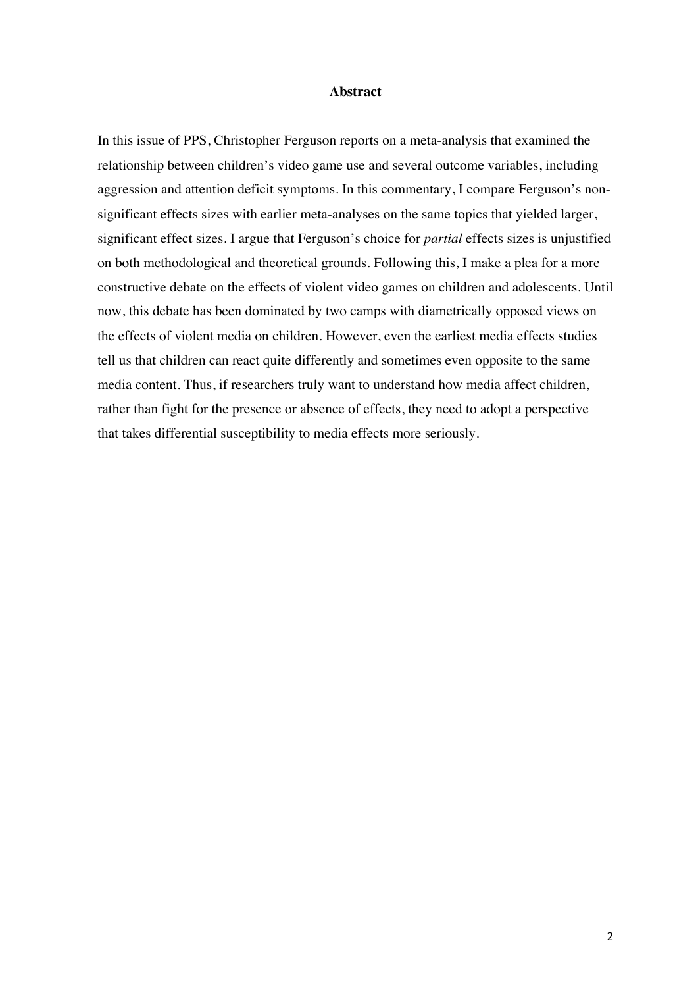#### **Abstract**

In this issue of PPS, Christopher Ferguson reports on a meta-analysis that examined the relationship between children's video game use and several outcome variables, including aggression and attention deficit symptoms. In this commentary, I compare Ferguson's nonsignificant effects sizes with earlier meta-analyses on the same topics that yielded larger, significant effect sizes. I argue that Ferguson's choice for *partial* effects sizes is unjustified on both methodological and theoretical grounds. Following this, I make a plea for a more constructive debate on the effects of violent video games on children and adolescents. Until now, this debate has been dominated by two camps with diametrically opposed views on the effects of violent media on children. However, even the earliest media effects studies tell us that children can react quite differently and sometimes even opposite to the same media content. Thus, if researchers truly want to understand how media affect children, rather than fight for the presence or absence of effects, they need to adopt a perspective that takes differential susceptibility to media effects more seriously.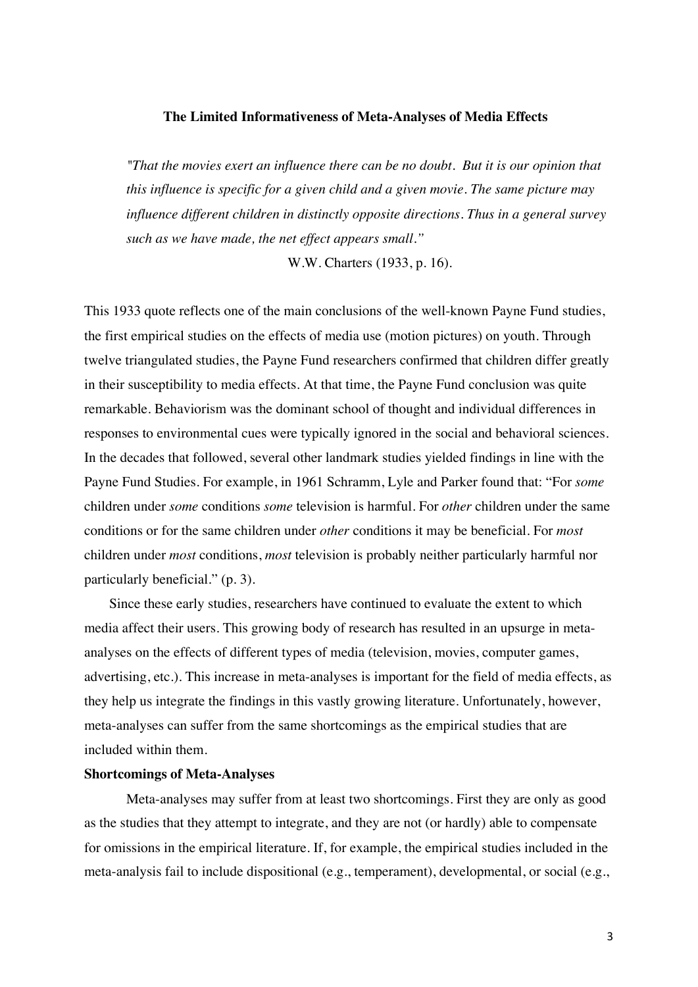## **The Limited Informativeness of Meta-Analyses of Media Effects**

*"That the movies exert an influence there can be no doubt. But it is our opinion that this influence is specific for a given child and a given movie. The same picture may influence different children in distinctly opposite directions. Thus in a general survey such as we have made, the net effect appears small."*

W.W. Charters (1933, p. 16).

This 1933 quote reflects one of the main conclusions of the well-known Payne Fund studies, the first empirical studies on the effects of media use (motion pictures) on youth. Through twelve triangulated studies, the Payne Fund researchers confirmed that children differ greatly in their susceptibility to media effects. At that time, the Payne Fund conclusion was quite remarkable. Behaviorism was the dominant school of thought and individual differences in responses to environmental cues were typically ignored in the social and behavioral sciences. In the decades that followed, several other landmark studies yielded findings in line with the Payne Fund Studies. For example, in 1961 Schramm, Lyle and Parker found that: "For *some* children under *some* conditions *some* television is harmful. For *other* children under the same conditions or for the same children under *other* conditions it may be beneficial. For *most*  children under *most* conditions, *most* television is probably neither particularly harmful nor particularly beneficial." (p. 3).

Since these early studies, researchers have continued to evaluate the extent to which media affect their users. This growing body of research has resulted in an upsurge in metaanalyses on the effects of different types of media (television, movies, computer games, advertising, etc.). This increase in meta-analyses is important for the field of media effects, as they help us integrate the findings in this vastly growing literature. Unfortunately, however, meta-analyses can suffer from the same shortcomings as the empirical studies that are included within them.

#### **Shortcomings of Meta-Analyses**

Meta-analyses may suffer from at least two shortcomings. First they are only as good as the studies that they attempt to integrate, and they are not (or hardly) able to compensate for omissions in the empirical literature. If, for example, the empirical studies included in the meta-analysis fail to include dispositional (e.g., temperament), developmental, or social (e.g.,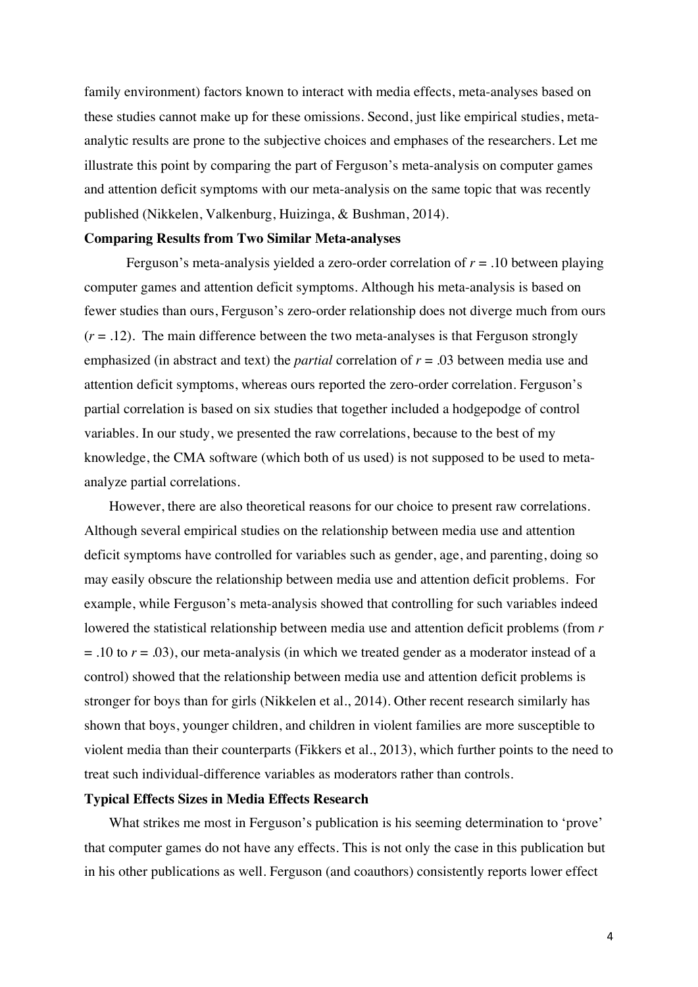family environment) factors known to interact with media effects, meta-analyses based on these studies cannot make up for these omissions. Second, just like empirical studies, metaanalytic results are prone to the subjective choices and emphases of the researchers. Let me illustrate this point by comparing the part of Ferguson's meta-analysis on computer games and attention deficit symptoms with our meta-analysis on the same topic that was recently published (Nikkelen, Valkenburg, Huizinga, & Bushman, 2014).

#### **Comparing Results from Two Similar Meta-analyses**

Ferguson's meta-analysis yielded a zero-order correlation of *r* = .10 between playing computer games and attention deficit symptoms. Although his meta-analysis is based on fewer studies than ours, Ferguson's zero-order relationship does not diverge much from ours  $(r = .12)$ . The main difference between the two meta-analyses is that Ferguson strongly emphasized (in abstract and text) the *partial* correlation of *r* = .03 between media use and attention deficit symptoms, whereas ours reported the zero-order correlation. Ferguson's partial correlation is based on six studies that together included a hodgepodge of control variables. In our study, we presented the raw correlations, because to the best of my knowledge, the CMA software (which both of us used) is not supposed to be used to metaanalyze partial correlations.

However, there are also theoretical reasons for our choice to present raw correlations. Although several empirical studies on the relationship between media use and attention deficit symptoms have controlled for variables such as gender, age, and parenting, doing so may easily obscure the relationship between media use and attention deficit problems. For example, while Ferguson's meta-analysis showed that controlling for such variables indeed lowered the statistical relationship between media use and attention deficit problems (from *r* = .10 to *r* = .03), our meta-analysis (in which we treated gender as a moderator instead of a control) showed that the relationship between media use and attention deficit problems is stronger for boys than for girls (Nikkelen et al., 2014). Other recent research similarly has shown that boys, younger children, and children in violent families are more susceptible to violent media than their counterparts (Fikkers et al., 2013), which further points to the need to treat such individual-difference variables as moderators rather than controls.

#### **Typical Effects Sizes in Media Effects Research**

What strikes me most in Ferguson's publication is his seeming determination to 'prove' that computer games do not have any effects. This is not only the case in this publication but in his other publications as well. Ferguson (and coauthors) consistently reports lower effect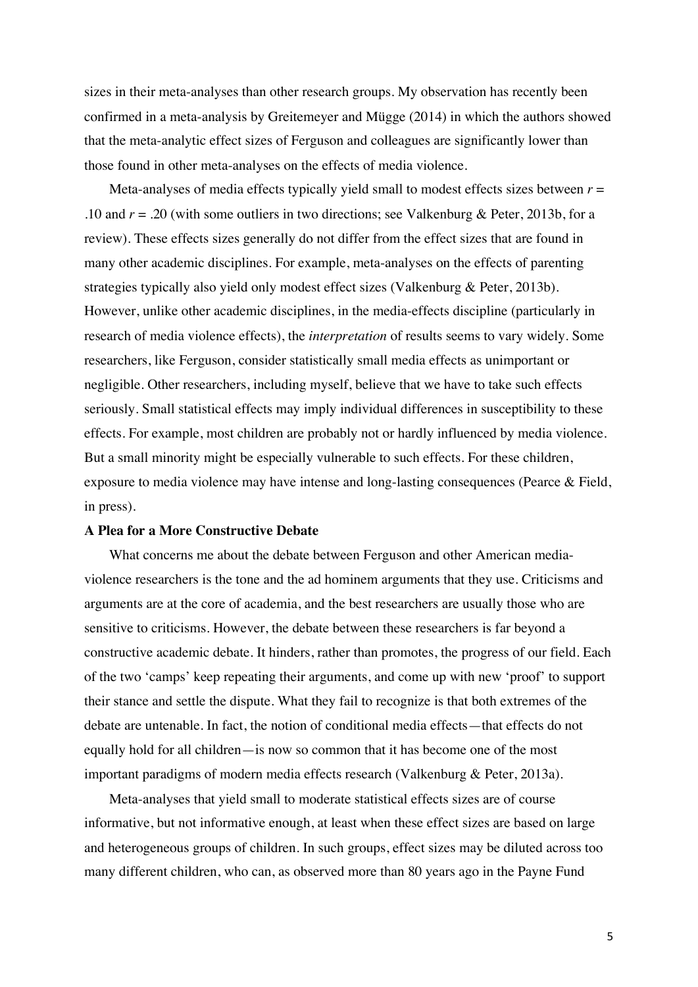sizes in their meta-analyses than other research groups. My observation has recently been confirmed in a meta-analysis by Greitemeyer and Mügge (2014) in which the authors showed that the meta-analytic effect sizes of Ferguson and colleagues are significantly lower than those found in other meta-analyses on the effects of media violence.

Meta-analyses of media effects typically yield small to modest effects sizes between  $r =$ .10 and *r* = .20 (with some outliers in two directions; see Valkenburg & Peter, 2013b, for a review). These effects sizes generally do not differ from the effect sizes that are found in many other academic disciplines. For example, meta-analyses on the effects of parenting strategies typically also yield only modest effect sizes (Valkenburg & Peter, 2013b). However, unlike other academic disciplines, in the media-effects discipline (particularly in research of media violence effects), the *interpretation* of results seems to vary widely. Some researchers, like Ferguson, consider statistically small media effects as unimportant or negligible. Other researchers, including myself, believe that we have to take such effects seriously. Small statistical effects may imply individual differences in susceptibility to these effects. For example, most children are probably not or hardly influenced by media violence. But a small minority might be especially vulnerable to such effects. For these children, exposure to media violence may have intense and long-lasting consequences (Pearce & Field, in press).

## **A Plea for a More Constructive Debate**

What concerns me about the debate between Ferguson and other American mediaviolence researchers is the tone and the ad hominem arguments that they use. Criticisms and arguments are at the core of academia, and the best researchers are usually those who are sensitive to criticisms. However, the debate between these researchers is far beyond a constructive academic debate. It hinders, rather than promotes, the progress of our field. Each of the two 'camps' keep repeating their arguments, and come up with new 'proof' to support their stance and settle the dispute. What they fail to recognize is that both extremes of the debate are untenable. In fact, the notion of conditional media effects—that effects do not equally hold for all children—is now so common that it has become one of the most important paradigms of modern media effects research (Valkenburg & Peter, 2013a).

Meta-analyses that yield small to moderate statistical effects sizes are of course informative, but not informative enough, at least when these effect sizes are based on large and heterogeneous groups of children. In such groups, effect sizes may be diluted across too many different children, who can, as observed more than 80 years ago in the Payne Fund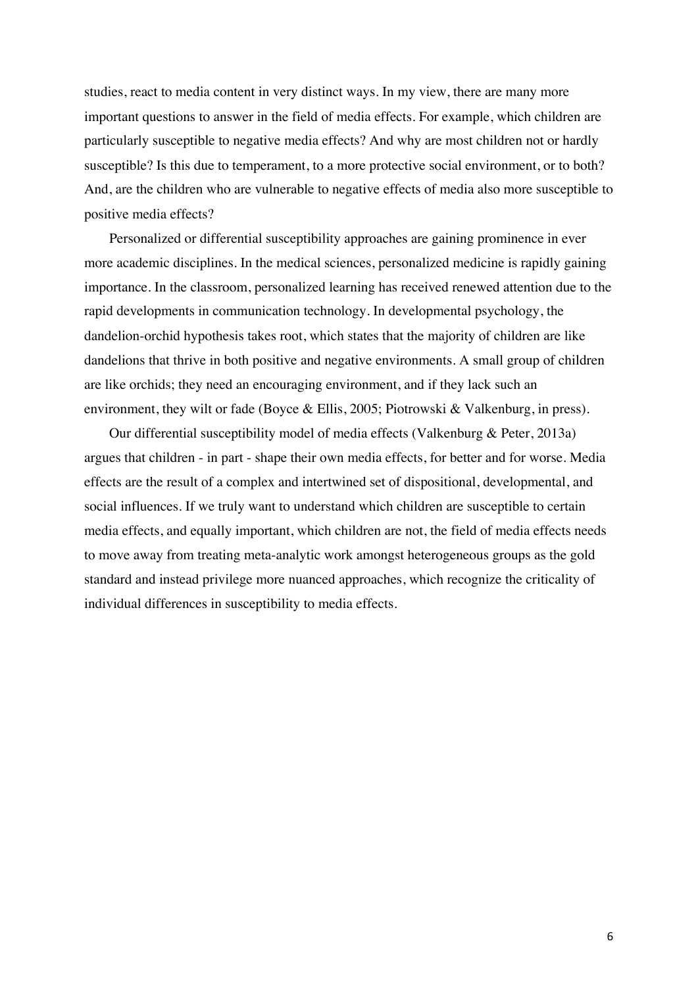studies, react to media content in very distinct ways. In my view, there are many more important questions to answer in the field of media effects. For example, which children are particularly susceptible to negative media effects? And why are most children not or hardly susceptible? Is this due to temperament, to a more protective social environment, or to both? And, are the children who are vulnerable to negative effects of media also more susceptible to positive media effects?

Personalized or differential susceptibility approaches are gaining prominence in ever more academic disciplines. In the medical sciences, personalized medicine is rapidly gaining importance. In the classroom, personalized learning has received renewed attention due to the rapid developments in communication technology. In developmental psychology, the dandelion-orchid hypothesis takes root, which states that the majority of children are like dandelions that thrive in both positive and negative environments. A small group of children are like orchids; they need an encouraging environment, and if they lack such an environment, they wilt or fade (Boyce & Ellis, 2005; Piotrowski & Valkenburg, in press).

Our differential susceptibility model of media effects (Valkenburg & Peter, 2013a) argues that children - in part - shape their own media effects, for better and for worse. Media effects are the result of a complex and intertwined set of dispositional, developmental, and social influences. If we truly want to understand which children are susceptible to certain media effects, and equally important, which children are not, the field of media effects needs to move away from treating meta-analytic work amongst heterogeneous groups as the gold standard and instead privilege more nuanced approaches, which recognize the criticality of individual differences in susceptibility to media effects.